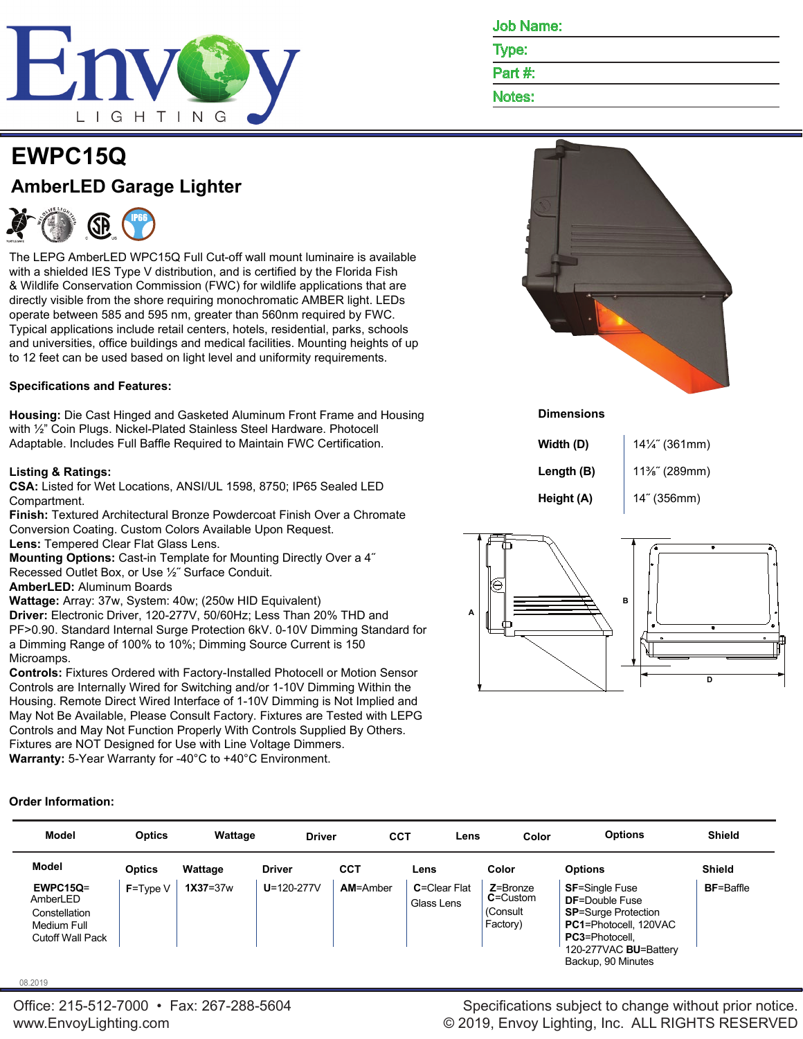

| <b>EWPC15Q</b>                 |  |
|--------------------------------|--|
| <b>AmberLED Garage Lighter</b> |  |



The LEPG AmberLED WPC15Q Full Cut-off wall mount luminaire is available with a shielded IES Type V distribution, and is certified by the Florida Fish & Wildlife Conservation Commission (FWC) for wildlife applications that are directly visible from the shore requiring monochromatic AMBER light. LEDs operate between 585 and 595 nm, greater than 560nm required by FWC. Typical applications include retail centers, hotels, residential, parks, schools and universities, office buildings and medical facilities. Mounting heights of up to 12 feet can be used based on light level and uniformity requirements.

## **Specifications and Features:**

**Housing:** Die Cast Hinged and Gasketed Aluminum Front Frame and Housing with ½" Coin Plugs. Nickel-Plated Stainless Steel Hardware. Photocell Adaptable. Includes Full Baffle Required to Maintain FWC Certification.

## **Listing & Ratings:**

**CSA:** Listed for Wet Locations, ANSI/UL 1598, 8750; IP65 Sealed LED Compartment.

**Finish:** Textured Architectural Bronze Powdercoat Finish Over a Chromate Conversion Coating. Custom Colors Available Upon Request.

**Lens:** Tempered Clear Flat Glass Lens.

**Mounting Options:** Cast-in Template for Mounting Directly Over a 4˝ Recessed Outlet Box, or Use ½˝ Surface Conduit.

# **AmberLED:** Aluminum Boards

**Wattage:** Array: 37w, System: 40w; (250w HID Equivalent) **Driver:** Electronic Driver, 120-277V, 50/60Hz; Less Than 20% THD and PF>0.90. Standard Internal Surge Protection 6kV. 0-10V Dimming Standard for a Dimming Range of 100% to 10%; Dimming Source Current is 150 Microamps.

**Controls:** Fixtures Ordered with Factory-Installed Photocell or Motion Sensor Controls are Internally Wired for Switching and/or 1-10V Dimming Within the Housing. Remote Direct Wired Interface of 1-10V Dimming is Not Implied and May Not Be Available, Please Consult Factory. Fixtures are Tested with LEPG Controls and May Not Function Properly With Controls Supplied By Others. Fixtures are NOT Designed for Use with Line Voltage Dimmers. **Warranty:** 5-Year Warranty for -40°C to +40°C Environment.

Job Name: Type:

# Part #:

Notes:



**Dimensions**

| Width (D)  | 14¼" (361mm) |
|------------|--------------|
| Length (B) | 11%" (289mm) |
| Height (A) | 14" (356mm)  |



## **Order Information:**

| Model                                                                              | <b>Optics</b> | Wattage      | <b>Driver</b>    | <b>CCT</b>      | Lens                       | Color                                                | <b>Options</b>                                                                                                                                                                  | <b>Shield</b>    |
|------------------------------------------------------------------------------------|---------------|--------------|------------------|-----------------|----------------------------|------------------------------------------------------|---------------------------------------------------------------------------------------------------------------------------------------------------------------------------------|------------------|
| <b>Model</b>                                                                       | <b>Optics</b> | Wattage      | <b>Driver</b>    | <b>CCT</b>      | Lens                       | Color                                                | <b>Options</b>                                                                                                                                                                  | <b>Shield</b>    |
| $EWPC15Q =$<br>AmberLED<br>Constellation<br>Medium Full<br><b>Cutoff Wall Pack</b> | $F = Twoe V$  | $1X37 = 37w$ | $U = 120 - 277V$ | <b>AM=Amber</b> | C=Clear Flat<br>Glass Lens | $Z = Bronze$<br>$C =$ Custom<br>(Consult<br>Factory) | <b>SF=Single Fuse</b><br><b>DF</b> =Double Fuse<br><b>SP=Surge Protection</b><br>PC1=Photocell, 120VAC<br>PC3=Photocell,<br>120-277VAC <b>BU</b> =Battery<br>Backup, 90 Minutes | <b>BF=Baffle</b> |

#### 08.2019